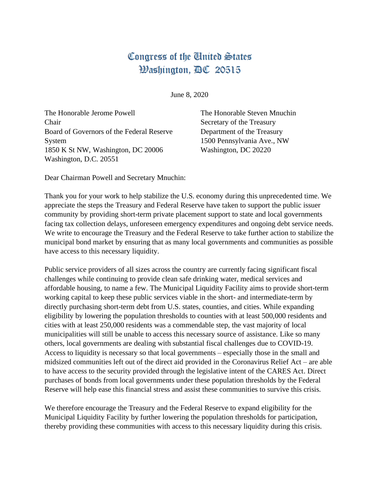## Congress of the United States Washington, DC 20515

June 8, 2020

The Honorable Jerome Powell Chair Board of Governors of the Federal Reserve System 1850 K St NW, Washington, DC 20006 Washington, D.C. 20551

The Honorable Steven Mnuchin Secretary of the Treasury Department of the Treasury 1500 Pennsylvania Ave., NW Washington, DC 20220

Dear Chairman Powell and Secretary Mnuchin:

Thank you for your work to help stabilize the U.S. economy during this unprecedented time. We appreciate the steps the Treasury and Federal Reserve have taken to support the public issuer community by providing short-term private placement support to state and local governments facing tax collection delays, unforeseen emergency expenditures and ongoing debt service needs. We write to encourage the Treasury and the Federal Reserve to take further action to stabilize the municipal bond market by ensuring that as many local governments and communities as possible have access to this necessary liquidity.

Public service providers of all sizes across the country are currently facing significant fiscal challenges while continuing to provide clean safe drinking water, medical services and affordable housing, to name a few. The Municipal Liquidity Facility aims to provide short-term working capital to keep these public services viable in the short- and intermediate-term by directly purchasing short-term debt from U.S. states, counties, and cities. While expanding eligibility by lowering the population thresholds to counties with at least 500,000 residents and cities with at least 250,000 residents was a commendable step, the vast majority of local municipalities will still be unable to access this necessary source of assistance. Like so many others, local governments are dealing with substantial fiscal challenges due to COVID-19. Access to liquidity is necessary so that local governments – especially those in the small and midsized communities left out of the direct aid provided in the Coronavirus Relief Act – are able to have access to the security provided through the legislative intent of the CARES Act. Direct purchases of bonds from local governments under these population thresholds by the Federal Reserve will help ease this financial stress and assist these communities to survive this crisis.

We therefore encourage the Treasury and the Federal Reserve to expand eligibility for the Municipal Liquidity Facility by further lowering the population thresholds for participation, thereby providing these communities with access to this necessary liquidity during this crisis.